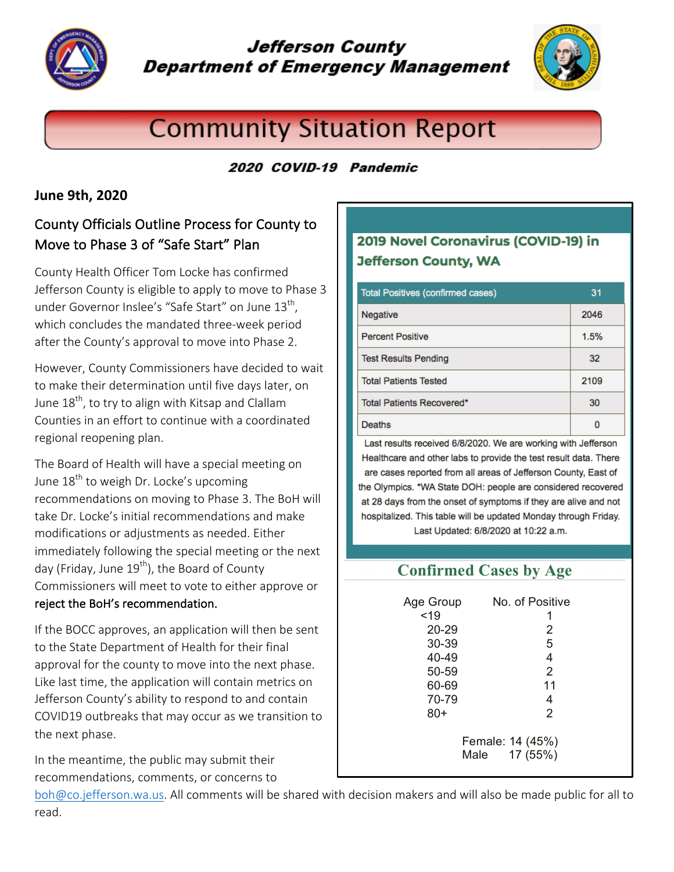

# **Jefferson County Department of Emergency Management**



# **Community Situation Report**

#### 2020 COVID-19 Pandemic

#### **June 9th, 2020**

# County Officials Outline Process for County to Move to Phase 3 of "Safe Start" Plan

County Health Officer Tom Locke has confirmed Jefferson County is eligible to apply to move to Phase 3 under Governor Inslee's "Safe Start" on June  $13<sup>th</sup>$ , which concludes the mandated three-week period after the County's approval to move into Phase 2.

However, County Commissioners have decided to wait to make their determination until five days later, on June  $18<sup>th</sup>$ , to try to align with Kitsap and Clallam Counties in an effort to continue with a coordinated regional reopening plan.

The Board of Health will have a special meeting on June  $18<sup>th</sup>$  to weigh Dr. Locke's upcoming recommendations on moving to Phase 3. The BoH will take Dr. Locke's initial recommendations and make modifications or adjustments as needed. Either immediately following the special meeting or the next day (Friday, June 19<sup>th</sup>), the Board of County Commissioners will meet to vote to either approve or reject the BoH's recommendation.

If the BOCC approves, an application will then be sent to the State Department of Health for their final approval for the county to move into the next phase. Like last time, the application will contain metrics on Jefferson County's ability to respond to and contain COVID19 outbreaks that may occur as we transition to the next phase.

In the meantime, the public may submit their recommendations, comments, or concerns to

# 2019 Novel Coronavirus (COVID-19) in **Jefferson County, WA**

| <b>Total Positives (confirmed cases)</b> | 31   |
|------------------------------------------|------|
| Negative                                 | 2046 |
| <b>Percent Positive</b>                  | 1.5% |
| <b>Test Results Pending</b>              | 32   |
| <b>Total Patients Tested</b>             | 2109 |
| Total Patients Recovered*                | 30   |
| Deaths                                   |      |

Last results received 6/8/2020. We are working with Jefferson Healthcare and other labs to provide the test result data. There are cases reported from all areas of Jefferson County, East of the Olympics. \*WA State DOH: people are considered recovered at 28 days from the onset of symptoms if they are alive and not hospitalized. This table will be updated Monday through Friday. Last Updated: 6/8/2020 at 10:22 a.m.

# **Confirmed Cases by Age**

| Age Group                         | No. of Positive |
|-----------------------------------|-----------------|
| < 19                              | 1               |
| 20-29                             | 2               |
| 30-39                             | 5               |
| 40-49                             | 4               |
| 50-59                             | 2               |
| 60-69                             | 11              |
| 70-79                             | 4               |
| 80+                               | 2               |
| Female: 14 (45%)<br>Male 17 (55%) |                 |

boh@co.jefferson.wa.us. All comments will be shared with decision makers and will also be made public for all to read.